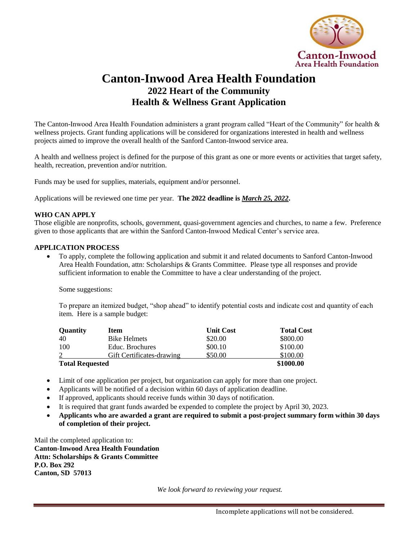

## **Canton-Inwood Area Health Foundation 2022 Heart of the Community Health & Wellness Grant Application**

The Canton-Inwood Area Health Foundation administers a grant program called "Heart of the Community" for health & wellness projects. Grant funding applications will be considered for organizations interested in health and wellness projects aimed to improve the overall health of the Sanford Canton-Inwood service area.

A health and wellness project is defined for the purpose of this grant as one or more events or activities that target safety, health, recreation, prevention and/or nutrition.

Funds may be used for supplies, materials, equipment and/or personnel.

Applications will be reviewed one time per year. **The 2022 deadline is** *March 25, 2022***.**

## **WHO CAN APPLY**

Those eligible are nonprofits, schools, government, quasi-government agencies and churches, to name a few. Preference given to those applicants that are within the Sanford Canton-Inwood Medical Center's service area.

## **APPLICATION PROCESS**

 To apply, complete the following application and submit it and related documents to Sanford Canton-Inwood Area Health Foundation, attn: Scholarships & Grants Committee. Please type all responses and provide sufficient information to enable the Committee to have a clear understanding of the project.

Some suggestions:

To prepare an itemized budget, "shop ahead" to identify potential costs and indicate cost and quantity of each item. Here is a sample budget:

| <b>Quantity</b>        | Item                      | <b>Unit Cost</b> | <b>Total Cost</b> |
|------------------------|---------------------------|------------------|-------------------|
| 40                     | <b>Bike Helmets</b>       | \$20.00          | \$800.00          |
| 100                    | Educ. Brochures           | \$00.10          | \$100.00          |
|                        | Gift Certificates-drawing | \$50.00          | \$100.00          |
| <b>Total Requested</b> |                           |                  | \$1000.00         |

- Limit of one application per project, but organization can apply for more than one project.
- Applicants will be notified of a decision within 60 days of application deadline.
- If approved, applicants should receive funds within 30 days of notification.
- It is required that grant funds awarded be expended to complete the project by April 30, 2023.
- **Applicants who are awarded a grant are required to submit a post-project summary form within 30 days of completion of their project.**

Mail the completed application to: **Canton-Inwood Area Health Foundation Attn: Scholarships & Grants Committee P.O. Box 292 Canton, SD 57013**

*We look forward to reviewing your request.*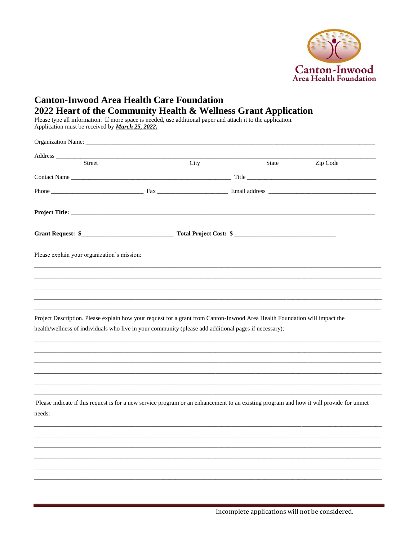

## **Canton-Inwood Area Health Care Foundation** 2022 Heart of the Community Health & Wellness Grant Application

Please type all information. If more space is needed, use additional paper and attach it to the application.<br>Application must be received by *March 25, 2022*.

| Street                                                                                                                                                                                                                              | City | State | Zip Code |
|-------------------------------------------------------------------------------------------------------------------------------------------------------------------------------------------------------------------------------------|------|-------|----------|
|                                                                                                                                                                                                                                     |      |       |          |
|                                                                                                                                                                                                                                     |      |       |          |
|                                                                                                                                                                                                                                     |      |       |          |
|                                                                                                                                                                                                                                     |      |       |          |
| Please explain your organization's mission:                                                                                                                                                                                         |      |       |          |
|                                                                                                                                                                                                                                     |      |       |          |
|                                                                                                                                                                                                                                     |      |       |          |
|                                                                                                                                                                                                                                     |      |       |          |
| Project Description. Please explain how your request for a grant from Canton-Inwood Area Health Foundation will impact the<br>health/wellness of individuals who live in your community (please add additional pages if necessary): |      |       |          |
|                                                                                                                                                                                                                                     |      |       |          |
| Please indicate if this request is for a new service program or an enhancement to an existing program and how it will provide for unmet<br>needs:                                                                                   |      |       |          |
|                                                                                                                                                                                                                                     |      |       |          |
|                                                                                                                                                                                                                                     |      |       |          |
|                                                                                                                                                                                                                                     |      |       |          |
|                                                                                                                                                                                                                                     |      |       |          |
|                                                                                                                                                                                                                                     |      |       |          |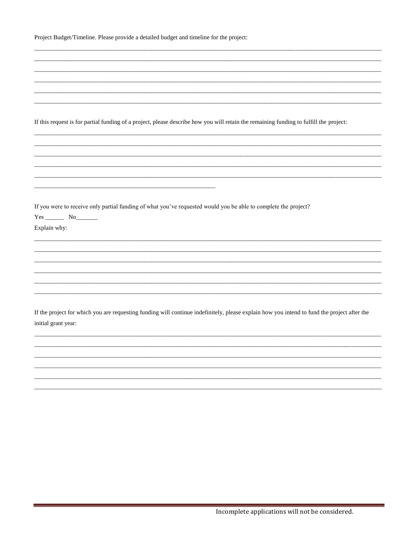|  |  |  | Project Budget/Timeline. Please provide a detailed budget and timeline for the project: |
|--|--|--|-----------------------------------------------------------------------------------------|
|--|--|--|-----------------------------------------------------------------------------------------|

| If this request is for partial funding of a project, please describe how you will retain the remaining funding to fulfill the project:<br>If you were to receive only partial funding of what you've requested would you be able to complete the project?<br>$Yes$ $No$<br>Explain why:<br>If the project for which you are requesting funding will continue indefinitely, please explain how you intend to fund the project after the<br>initial grant year: |  |
|---------------------------------------------------------------------------------------------------------------------------------------------------------------------------------------------------------------------------------------------------------------------------------------------------------------------------------------------------------------------------------------------------------------------------------------------------------------|--|
|                                                                                                                                                                                                                                                                                                                                                                                                                                                               |  |
|                                                                                                                                                                                                                                                                                                                                                                                                                                                               |  |
|                                                                                                                                                                                                                                                                                                                                                                                                                                                               |  |
|                                                                                                                                                                                                                                                                                                                                                                                                                                                               |  |
|                                                                                                                                                                                                                                                                                                                                                                                                                                                               |  |
|                                                                                                                                                                                                                                                                                                                                                                                                                                                               |  |
|                                                                                                                                                                                                                                                                                                                                                                                                                                                               |  |
|                                                                                                                                                                                                                                                                                                                                                                                                                                                               |  |
|                                                                                                                                                                                                                                                                                                                                                                                                                                                               |  |
|                                                                                                                                                                                                                                                                                                                                                                                                                                                               |  |
|                                                                                                                                                                                                                                                                                                                                                                                                                                                               |  |
|                                                                                                                                                                                                                                                                                                                                                                                                                                                               |  |
|                                                                                                                                                                                                                                                                                                                                                                                                                                                               |  |
|                                                                                                                                                                                                                                                                                                                                                                                                                                                               |  |
|                                                                                                                                                                                                                                                                                                                                                                                                                                                               |  |
|                                                                                                                                                                                                                                                                                                                                                                                                                                                               |  |
|                                                                                                                                                                                                                                                                                                                                                                                                                                                               |  |
|                                                                                                                                                                                                                                                                                                                                                                                                                                                               |  |
|                                                                                                                                                                                                                                                                                                                                                                                                                                                               |  |
|                                                                                                                                                                                                                                                                                                                                                                                                                                                               |  |
|                                                                                                                                                                                                                                                                                                                                                                                                                                                               |  |
|                                                                                                                                                                                                                                                                                                                                                                                                                                                               |  |
|                                                                                                                                                                                                                                                                                                                                                                                                                                                               |  |
|                                                                                                                                                                                                                                                                                                                                                                                                                                                               |  |
|                                                                                                                                                                                                                                                                                                                                                                                                                                                               |  |
|                                                                                                                                                                                                                                                                                                                                                                                                                                                               |  |
|                                                                                                                                                                                                                                                                                                                                                                                                                                                               |  |
|                                                                                                                                                                                                                                                                                                                                                                                                                                                               |  |
|                                                                                                                                                                                                                                                                                                                                                                                                                                                               |  |
|                                                                                                                                                                                                                                                                                                                                                                                                                                                               |  |
|                                                                                                                                                                                                                                                                                                                                                                                                                                                               |  |
|                                                                                                                                                                                                                                                                                                                                                                                                                                                               |  |
|                                                                                                                                                                                                                                                                                                                                                                                                                                                               |  |
|                                                                                                                                                                                                                                                                                                                                                                                                                                                               |  |
|                                                                                                                                                                                                                                                                                                                                                                                                                                                               |  |
|                                                                                                                                                                                                                                                                                                                                                                                                                                                               |  |
|                                                                                                                                                                                                                                                                                                                                                                                                                                                               |  |
|                                                                                                                                                                                                                                                                                                                                                                                                                                                               |  |
|                                                                                                                                                                                                                                                                                                                                                                                                                                                               |  |
|                                                                                                                                                                                                                                                                                                                                                                                                                                                               |  |
|                                                                                                                                                                                                                                                                                                                                                                                                                                                               |  |
|                                                                                                                                                                                                                                                                                                                                                                                                                                                               |  |
|                                                                                                                                                                                                                                                                                                                                                                                                                                                               |  |
|                                                                                                                                                                                                                                                                                                                                                                                                                                                               |  |
|                                                                                                                                                                                                                                                                                                                                                                                                                                                               |  |
|                                                                                                                                                                                                                                                                                                                                                                                                                                                               |  |
|                                                                                                                                                                                                                                                                                                                                                                                                                                                               |  |
|                                                                                                                                                                                                                                                                                                                                                                                                                                                               |  |
|                                                                                                                                                                                                                                                                                                                                                                                                                                                               |  |
|                                                                                                                                                                                                                                                                                                                                                                                                                                                               |  |
|                                                                                                                                                                                                                                                                                                                                                                                                                                                               |  |
|                                                                                                                                                                                                                                                                                                                                                                                                                                                               |  |